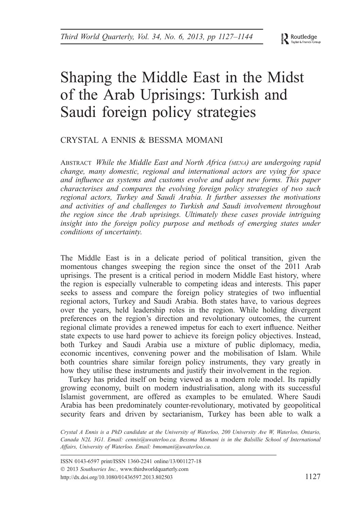Routledge Taylor & Francis

# Shaping the Middle East in the Midst of the Arab Uprisings: Turkish and Saudi foreign policy strategies

## CRYSTAL A ENNIS & BESSMA MOMANI

ABSTRACT While the Middle East and North Africa (MENA) are undergoing rapid change, many domestic, regional and international actors are vying for space and influence as systems and customs evolve and adopt new forms. This paper characterises and compares the evolving foreign policy strategies of two such regional actors, Turkey and Saudi Arabia. It further assesses the motivations and activities of and challenges to Turkish and Saudi involvement throughout the region since the Arab uprisings. Ultimately these cases provide intriguing insight into the foreign policy purpose and methods of emerging states under conditions of uncertainty.

The Middle East is in a delicate period of political transition, given the momentous changes sweeping the region since the onset of the 2011 Arab uprisings. The present is a critical period in modern Middle East history, where the region is especially vulnerable to competing ideas and interests. This paper seeks to assess and compare the foreign policy strategies of two influential regional actors, Turkey and Saudi Arabia. Both states have, to various degrees over the years, held leadership roles in the region. While holding divergent preferences on the region's direction and revolutionary outcomes, the current regional climate provides a renewed impetus for each to exert influence. Neither state expects to use hard power to achieve its foreign policy objectives. Instead, both Turkey and Saudi Arabia use a mixture of public diplomacy, media, economic incentives, convening power and the mobilisation of Islam. While both countries share similar foreign policy instruments, they vary greatly in how they utilise these instruments and justify their involvement in the region.

Turkey has prided itself on being viewed as a modern role model. Its rapidly growing economy, built on modern industrialisation, along with its successful Islamist government, are offered as examples to be emulated. Where Saudi Arabia has been predominately counter-revolutionary, motivated by geopolitical security fears and driven by sectarianism, Turkey has been able to walk a

Crystal A Ennis is a PhD candidate at the University of Waterloo, 200 University Ave W, Waterloo, Ontario, Canada N2L 3G1. Email: cennis@uwaterloo.ca. Bessma Momani is in the Balsillie School of International Affairs, University of Waterloo. Email: bmomani@uwaterloo.ca.

ISSN 0143-6597 print/ISSN 1360-2241 online/13/001127-18 2013 Southseries Inc., www.thirdworldquarterly.com http://dx.doi.org/10.1080/01436597.2013.802503 1127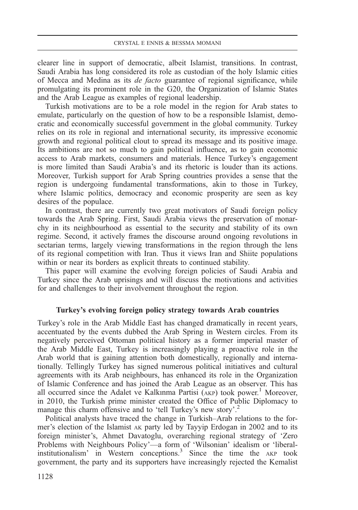clearer line in support of democratic, albeit Islamist, transitions. In contrast, Saudi Arabia has long considered its role as custodian of the holy Islamic cities of Mecca and Medina as its de facto guarantee of regional significance, while promulgating its prominent role in the G20, the Organization of Islamic States and the Arab League as examples of regional leadership.

Turkish motivations are to be a role model in the region for Arab states to emulate, particularly on the question of how to be a responsible Islamist, democratic and economically successful government in the global community. Turkey relies on its role in regional and international security, its impressive economic growth and regional political clout to spread its message and its positive image. Its ambitions are not so much to gain political influence, as to gain economic access to Arab markets, consumers and materials. Hence Turkey's engagement is more limited than Saudi Arabia's and its rhetoric is louder than its actions. Moreover, Turkish support for Arab Spring countries provides a sense that the region is undergoing fundamental transformations, akin to those in Turkey, where Islamic politics, democracy and economic prosperity are seen as key desires of the populace.

In contrast, there are currently two great motivators of Saudi foreign policy towards the Arab Spring. First, Saudi Arabia views the preservation of monarchy in its neighbourhood as essential to the security and stability of its own regime. Second, it actively frames the discourse around ongoing revolutions in sectarian terms, largely viewing transformations in the region through the lens of its regional competition with Iran. Thus it views Iran and Shiite populations within or near its borders as explicit threats to continued stability.

This paper will examine the evolving foreign policies of Saudi Arabia and Turkey since the Arab uprisings and will discuss the motivations and activities for and challenges to their involvement throughout the region.

## Turkey's evolving foreign policy strategy towards Arab countries

Turkey's role in the Arab Middle East has changed dramatically in recent years, accentuated by the events dubbed the Arab Spring in Western circles. From its negatively perceived Ottoman political history as a former imperial master of the Arab Middle East, Turkey is increasingly playing a proactive role in the Arab world that is gaining attention both domestically, regionally and internationally. Tellingly Turkey has signed numerous political initiatives and cultural agreements with its Arab neighbours, has enhanced its role in the Organization of Islamic Conference and has joined the Arab League as an observer. This has all occurred since the Adalet ve Kalkınma Partisi  $(AKP)$  took power.<sup>1</sup> Moreover, in 2010, the Turkish prime minister created the Office of Public Diplomacy to manage this charm offensive and to 'tell Turkey's new story'.<sup>2</sup>

Political analysts have traced the change in Turkish–Arab relations to the former's election of the Islamist AK party led by Tayyip Erdogan in 2002 and to its foreign minister's, Ahmet Davatoglu, overarching regional strategy of 'Zero Problems with Neighbours Policy'—a form of 'Wilsonian' idealism or 'liberalinstitutionalism' in Western conceptions.<sup>3</sup> Since the time the AKP took government, the party and its supporters have increasingly rejected the Kemalist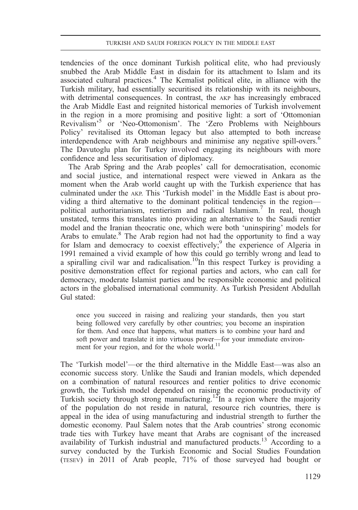tendencies of the once dominant Turkish political elite, who had previously snubbed the Arab Middle East in disdain for its attachment to Islam and its associated cultural practices.<sup>4</sup> The Kemalist political elite, in alliance with the Turkish military, had essentially securitised its relationship with its neighbours, with detrimental consequences. In contrast, the AKP has increasingly embraced the Arab Middle East and reignited historical memories of Turkish involvement in the region in a more promising and positive light: a sort of 'Ottomonian Revivalism' <sup>5</sup> or 'Neo-Ottomonism'. The 'Zero Problems with Neighbours Policy' revitalised its Ottoman legacy but also attempted to both increase interdependence with Arab neighbours and minimise any negative spill-overs.<sup>6</sup> The Davutoglu plan for Turkey involved engaging its neighbours with more confidence and less securitisation of diplomacy.

The Arab Spring and the Arab peoples' call for democratisation, economic and social justice, and international respect were viewed in Ankara as the moment when the Arab world caught up with the Turkish experience that has culminated under the AKP. This 'Turkish model' in the Middle East is about providing a third alternative to the dominant political tendencies in the region political authoritarianism, rentierism and radical Islamism.<sup>7</sup> In real, though unstated, terms this translates into providing an alternative to the Saudi rentier model and the Iranian theocratic one, which were both 'uninspiring' models for Arabs to emulate. $8$  The Arab region had not had the opportunity to find a way for Islam and democracy to coexist effectively;<sup>9</sup> the experience of Algeria in 1991 remained a vivid example of how this could go terribly wrong and lead to a spiralling civil war and radicalisation.<sup>10</sup>In this respect Turkey is providing a positive demonstration effect for regional parties and actors, who can call for democracy, moderate Islamist parties and be responsible economic and political actors in the globalised international community. As Turkish President Abdullah Gul stated:

once you succeed in raising and realizing your standards, then you start being followed very carefully by other countries; you become an inspiration for them. And once that happens, what matters is to combine your hard and soft power and translate it into virtuous power—for your immediate environment for your region, and for the whole world.<sup>11</sup>

The 'Turkish model'—or the third alternative in the Middle East—was also an economic success story. Unlike the Saudi and Iranian models, which depended on a combination of natural resources and rentier politics to drive economic growth, the Turkish model depended on raising the economic productivity of Turkish society through strong manufacturing.<sup>12</sup>In a region where the majority of the population do not reside in natural, resource rich countries, there is appeal in the idea of using manufacturing and industrial strength to further the domestic economy. Paul Salem notes that the Arab countries' strong economic trade ties with Turkey have meant that Arabs are cognisant of the increased availability of Turkish industrial and manufactured products.<sup>13</sup> According to a survey conducted by the Turkish Economic and Social Studies Foundation (TESEV) in 2011 of Arab people, 71% of those surveyed had bought or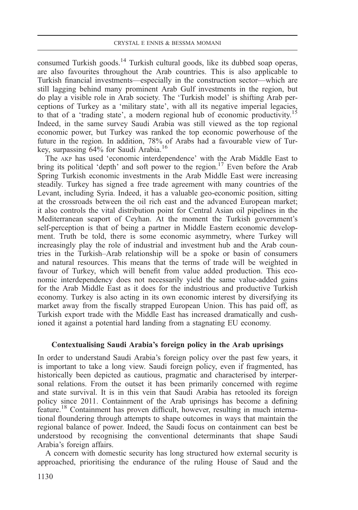consumed Turkish goods.<sup>14</sup> Turkish cultural goods, like its dubbed soap operas, are also favourites throughout the Arab countries. This is also applicable to Turkish financial investments—especially in the construction sector—which are still lagging behind many prominent Arab Gulf investments in the region, but do play a visible role in Arab society. The 'Turkish model' is shifting Arab perceptions of Turkey as a 'military state', with all its negative imperial legacies, to that of a 'trading state', a modern regional hub of economic productivity.15 Indeed, in the same survey Saudi Arabia was still viewed as the top regional economic power, but Turkey was ranked the top economic powerhouse of the future in the region. In addition, 78% of Arabs had a favourable view of Turkey, surpassing 64% for Saudi Arabia.16

The AKP has used 'economic interdependence' with the Arab Middle East to bring its political 'depth' and soft power to the region.<sup>17</sup> Even before the Arab Spring Turkish economic investments in the Arab Middle East were increasing steadily. Turkey has signed a free trade agreement with many countries of the Levant, including Syria. Indeed, it has a valuable geo-economic position, sitting at the crossroads between the oil rich east and the advanced European market; it also controls the vital distribution point for Central Asian oil pipelines in the Mediterranean seaport of Ceyhan. At the moment the Turkish government's self-perception is that of being a partner in Middle Eastern economic development. Truth be told, there is some economic asymmetry, where Turkey will increasingly play the role of industrial and investment hub and the Arab countries in the Turkish–Arab relationship will be a spoke or basin of consumers and natural resources. This means that the terms of trade will be weighted in favour of Turkey, which will benefit from value added production. This economic interdependency does not necessarily yield the same value-added gains for the Arab Middle East as it does for the industrious and productive Turkish economy. Turkey is also acting in its own economic interest by diversifying its market away from the fiscally strapped European Union. This has paid off, as Turkish export trade with the Middle East has increased dramatically and cushioned it against a potential hard landing from a stagnating EU economy.

## Contextualising Saudi Arabia's foreign policy in the Arab uprisings

In order to understand Saudi Arabia's foreign policy over the past few years, it is important to take a long view. Saudi foreign policy, even if fragmented, has historically been depicted as cautious, pragmatic and characterised by interpersonal relations. From the outset it has been primarily concerned with regime and state survival. It is in this vein that Saudi Arabia has retooled its foreign policy since 2011. Containment of the Arab uprisings has become a defining feature.18 Containment has proven difficult, however, resulting in much international floundering through attempts to shape outcomes in ways that maintain the regional balance of power. Indeed, the Saudi focus on containment can best be understood by recognising the conventional determinants that shape Saudi Arabia's foreign affairs.

A concern with domestic security has long structured how external security is approached, prioritising the endurance of the ruling House of Saud and the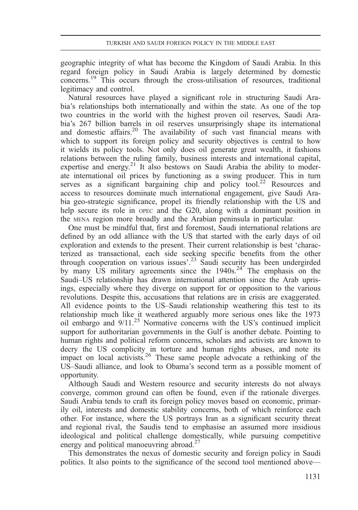geographic integrity of what has become the Kingdom of Saudi Arabia. In this regard foreign policy in Saudi Arabia is largely determined by domestic concerns.19 This occurs through the cross-utilisation of resources, traditional legitimacy and control.

Natural resources have played a significant role in structuring Saudi Arabia's relationships both internationally and within the state. As one of the top two countries in the world with the highest proven oil reserves, Saudi Arabia's 267 billion barrels in oil reserves unsurprisingly shape its international and domestic affairs.<sup>20</sup> The availability of such vast financial means with which to support its foreign policy and security objectives is central to how it wields its policy tools. Not only does oil generate great wealth, it fashions relations between the ruling family, business interests and international capital, expertise and energy.<sup>21</sup> It also bestows on Saudi Arabia the ability to moderate international oil prices by functioning as a swing producer. This in turn serves as a significant bargaining chip and policy tool.<sup>22</sup> Resources and access to resources dominate much international engagement, give Saudi Arabia geo-strategic significance, propel its friendly relationship with the US and help secure its role in OPEC and the G20, along with a dominant position in the MENA region more broadly and the Arabian peninsula in particular.

One must be mindful that, first and foremost, Saudi international relations are defined by an odd alliance with the US that started with the early days of oil exploration and extends to the present. Their current relationship is best 'characterized as transactional, each side seeking specific benefits from the other through cooperation on various issues'. <sup>23</sup> Saudi security has been undergirded by many US military agreements since the  $1940s^{24}$ . The emphasis on the Saudi–US relationship has drawn international attention since the Arab uprisings, especially where they diverge on support for or opposition to the various revolutions. Despite this, accusations that relations are in crisis are exaggerated. All evidence points to the US–Saudi relationship weathering this test to its relationship much like it weathered arguably more serious ones like the 1973 oil embargo and  $9/11$ <sup>25</sup> Normative concerns with the US's continued implicit support for authoritarian governments in the Gulf is another debate. Pointing to human rights and political reform concerns, scholars and activists are known to decry the US complicity in torture and human rights abuses, and note its impact on local activists.<sup>26</sup> These same people advocate a rethinking of the US–Saudi alliance, and look to Obama's second term as a possible moment of opportunity.

Although Saudi and Western resource and security interests do not always converge, common ground can often be found, even if the rationale diverges. Saudi Arabia tends to craft its foreign policy moves based on economic, primarily oil, interests and domestic stability concerns, both of which reinforce each other. For instance, where the US portrays Iran as a significant security threat and regional rival, the Saudis tend to emphasise an assumed more insidious ideological and political challenge domestically, while pursuing competitive energy and political manoeuvring abroad. $27$ 

This demonstrates the nexus of domestic security and foreign policy in Saudi politics. It also points to the significance of the second tool mentioned above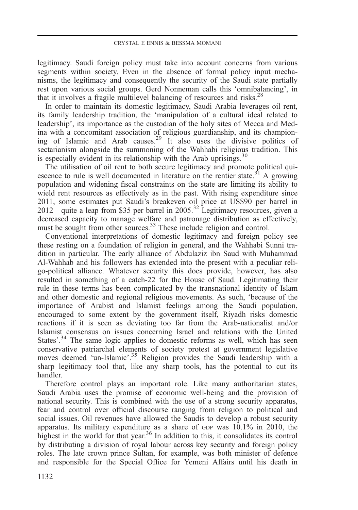legitimacy. Saudi foreign policy must take into account concerns from various segments within society. Even in the absence of formal policy input mechanisms, the legitimacy and consequently the security of the Saudi state partially rest upon various social groups. Gerd Nonneman calls this 'omnibalancing', in that it involves a fragile multilevel balancing of resources and risks.<sup>28</sup>

In order to maintain its domestic legitimacy, Saudi Arabia leverages oil rent, its family leadership tradition, the 'manipulation of a cultural ideal related to leadership', its importance as the custodian of the holy sites of Mecca and Medina with a concomitant association of religious guardianship, and its championing of Islamic and Arab causes.<sup>29</sup> It also uses the divisive politics of sectarianism alongside the summoning of the Wahhabi religious tradition. This is especially evident in its relationship with the Arab uprisings. $30$ 

The utilisation of oil rent to both secure legitimacy and promote political quiescence to rule is well documented in literature on the rentier state.<sup>31</sup> A growing population and widening fiscal constraints on the state are limiting its ability to wield rent resources as effectively as in the past. With rising expenditure since 2011, some estimates put Saudi's breakeven oil price at US\$90 per barrel in 2012—quite a leap from \$35 per barrel in 2005.<sup>32</sup> Legitimacy resources, given a decreased capacity to manage welfare and patronage distribution as effectively, must be sought from other sources.<sup>33</sup> These include religion and control.

Conventional interpretations of domestic legitimacy and foreign policy see these resting on a foundation of religion in general, and the Wahhabi Sunni tradition in particular. The early alliance of Abdulaziz ibn Saud with Muhammad Al-Wahhab and his followers has extended into the present with a peculiar religo-political alliance. Whatever security this does provide, however, has also resulted in something of a catch-22 for the House of Saud. Legitimating their rule in these terms has been complicated by the transnational identity of Islam and other domestic and regional religious movements. As such, 'because of the importance of Arabist and Islamist feelings among the Saudi population, encouraged to some extent by the government itself, Riyadh risks domestic reactions if it is seen as deviating too far from the Arab-nationalist and/or Islamist consensus on issues concerning Israel and relations with the United States'.<sup>34</sup> The same logic applies to domestic reforms as well, which has seen conservative patriarchal elements of society protest at government legislative moves deemed 'un-Islamic'.<sup>35</sup> Religion provides the Saudi leadership with a sharp legitimacy tool that, like any sharp tools, has the potential to cut its handler.

Therefore control plays an important role. Like many authoritarian states, Saudi Arabia uses the promise of economic well-being and the provision of national security. This is combined with the use of a strong security apparatus, fear and control over official discourse ranging from religion to political and social issues. Oil revenues have allowed the Saudis to develop a robust security apparatus. Its military expenditure as a share of GDP was 10.1% in 2010, the highest in the world for that year.<sup>36</sup> In addition to this, it consolidates its control by distributing a division of royal labour across key security and foreign policy roles. The late crown prince Sultan, for example, was both minister of defence and responsible for the Special Office for Yemeni Affairs until his death in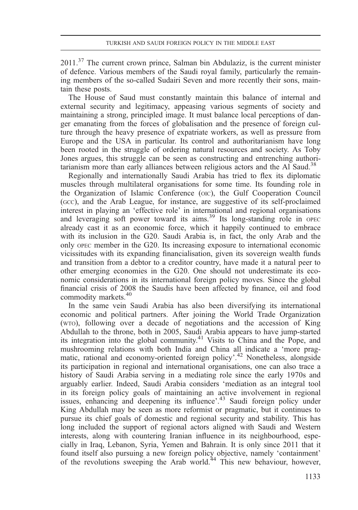$2011<sup>37</sup>$  The current crown prince, Salman bin Abdulaziz, is the current minister of defence. Various members of the Saudi royal family, particularly the remaining members of the so-called Sudairi Seven and more recently their sons, maintain these posts.

The House of Saud must constantly maintain this balance of internal and external security and legitimacy, appeasing various segments of society and maintaining a strong, principled image. It must balance local perceptions of danger emanating from the forces of globalisation and the presence of foreign culture through the heavy presence of expatriate workers, as well as pressure from Europe and the USA in particular. Its control and authoritarianism have long been rooted in the struggle of ordering natural resources and society. As Toby Jones argues, this struggle can be seen as constructing and entrenching authoritarianism more than early alliances between religious actors and the Al Saud.<sup>38</sup>

Regionally and internationally Saudi Arabia has tried to flex its diplomatic muscles through multilateral organisations for some time. Its founding role in the Organization of Islamic Conference (oic), the Gulf Cooperation Council (GCC), and the Arab League, for instance, are suggestive of its self-proclaimed interest in playing an 'effective role' in international and regional organisations and leveraging soft power toward its aims.<sup>39</sup> Its long-standing role in OPEC already cast it as an economic force, which it happily continued to embrace with its inclusion in the G20. Saudi Arabia is, in fact, the only Arab and the only OPEC member in the G20. Its increasing exposure to international economic vicissitudes with its expanding financialisation, given its sovereign wealth funds and transition from a debtor to a creditor country, have made it a natural peer to other emerging economies in the G20. One should not underestimate its economic considerations in its international foreign policy moves. Since the global financial crisis of 2008 the Saudis have been affected by finance, oil and food commodity markets.<sup>40</sup>

In the same vein Saudi Arabia has also been diversifying its international economic and political partners. After joining the World Trade Organization (WTO), following over a decade of negotiations and the accession of King Abdullah to the throne, both in 2005, Saudi Arabia appears to have jump-started its integration into the global community.41 Visits to China and the Pope, and mushrooming relations with both India and China all indicate a 'more pragmatic, rational and economy-oriented foreign policy'.<sup>42</sup> Nonetheless, alongside its participation in regional and international organisations, one can also trace a history of Saudi Arabia serving in a mediating role since the early 1970s and arguably earlier. Indeed, Saudi Arabia considers 'mediation as an integral tool in its foreign policy goals of maintaining an active involvement in regional issues, enhancing and deepening its influence'.<sup>43</sup> Saudi foreign policy under King Abdullah may be seen as more reformist or pragmatic, but it continues to pursue its chief goals of domestic and regional security and stability. This has long included the support of regional actors aligned with Saudi and Western interests, along with countering Iranian influence in its neighbourhood, especially in Iraq, Lebanon, Syria, Yemen and Bahrain. It is only since 2011 that it found itself also pursuing a new foreign policy objective, namely 'containment' of the revolutions sweeping the Arab world.<sup>44</sup> This new behaviour, however,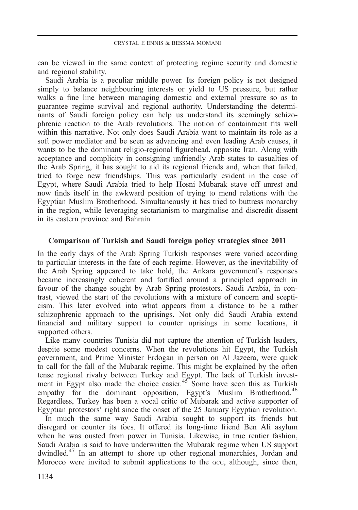can be viewed in the same context of protecting regime security and domestic and regional stability.

Saudi Arabia is a peculiar middle power. Its foreign policy is not designed simply to balance neighbouring interests or yield to US pressure, but rather walks a fine line between managing domestic and external pressure so as to guarantee regime survival and regional authority. Understanding the determinants of Saudi foreign policy can help us understand its seemingly schizophrenic reaction to the Arab revolutions. The notion of containment fits well within this narrative. Not only does Saudi Arabia want to maintain its role as a soft power mediator and be seen as advancing and even leading Arab causes, it wants to be the dominant religio-regional figurehead, opposite Iran. Along with acceptance and complicity in consigning unfriendly Arab states to casualties of the Arab Spring, it has sought to aid its regional friends and, when that failed, tried to forge new friendships. This was particularly evident in the case of Egypt, where Saudi Arabia tried to help Hosni Mubarak stave off unrest and now finds itself in the awkward position of trying to mend relations with the Egyptian Muslim Brotherhood. Simultaneously it has tried to buttress monarchy in the region, while leveraging sectarianism to marginalise and discredit dissent in its eastern province and Bahrain.

## Comparison of Turkish and Saudi foreign policy strategies since 2011

In the early days of the Arab Spring Turkish responses were varied according to particular interests in the fate of each regime. However, as the inevitability of the Arab Spring appeared to take hold, the Ankara government's responses became increasingly coherent and fortified around a principled approach in favour of the change sought by Arab Spring protestors. Saudi Arabia, in contrast, viewed the start of the revolutions with a mixture of concern and scepticism. This later evolved into what appears from a distance to be a rather schizophrenic approach to the uprisings. Not only did Saudi Arabia extend financial and military support to counter uprisings in some locations, it supported others.

Like many countries Tunisia did not capture the attention of Turkish leaders, despite some modest concerns. When the revolutions hit Egypt, the Turkish government, and Prime Minister Erdogan in person on Al Jazeera, were quick to call for the fall of the Mubarak regime. This might be explained by the often tense regional rivalry between Turkey and Egypt. The lack of Turkish investment in Egypt also made the choice easier.<sup>45</sup> Some have seen this as Turkish empathy for the dominant opposition, Egypt's Muslim Brotherhood.<sup>46</sup> Regardless, Turkey has been a vocal critic of Mubarak and active supporter of Egyptian protestors' right since the onset of the 25 January Egyptian revolution.

In much the same way Saudi Arabia sought to support its friends but disregard or counter its foes. It offered its long-time friend Ben Ali asylum when he was ousted from power in Tunisia. Likewise, in true rentier fashion, Saudi Arabia is said to have underwritten the Mubarak regime when US support dwindled.47 In an attempt to shore up other regional monarchies, Jordan and Morocco were invited to submit applications to the GCC, although, since then,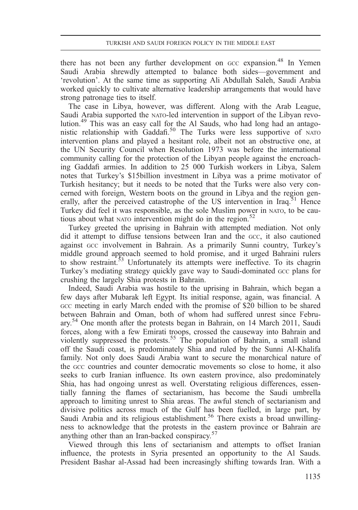there has not been any further development on  $GCC$  expansion.<sup>48</sup> In Yemen Saudi Arabia shrewdly attempted to balance both sides—government and 'revolution'. At the same time as supporting Ali Abdullah Saleh, Saudi Arabia worked quickly to cultivate alternative leadership arrangements that would have strong patronage ties to itself.

The case in Libya, however, was different. Along with the Arab League, Saudi Arabia supported the NATO-led intervention in support of the Libyan revolution.<sup>49</sup> This was an easy call for the Al Sauds, who had long had an antagonistic relationship with Gaddafi.<sup>50</sup> The Turks were less supportive of NATO intervention plans and played a hesitant role, albeit not an obstructive one, at the UN Security Council when Resolution 1973 was before the international community calling for the protection of the Libyan people against the encroaching Gaddafi armies. In addition to 25 000 Turkish workers in Libya, Salem notes that Turkey's \$15billion investment in Libya was a prime motivator of Turkish hesitancy; but it needs to be noted that the Turks were also very concerned with foreign, Western boots on the ground in Libya and the region generally, after the perceived catastrophe of the US intervention in Iraq.<sup>51</sup> Hence Turkey did feel it was responsible, as the sole Muslim power in NATO, to be cautious about what NATO intervention might do in the region.<sup>52</sup>

Turkey greeted the uprising in Bahrain with attempted mediation. Not only did it attempt to diffuse tensions between Iran and the GCC, it also cautioned against GCC involvement in Bahrain. As a primarily Sunni country, Turkey's middle ground approach seemed to hold promise, and it urged Bahraini rulers to show restraint.<sup>53</sup> Unfortunately its attempts were ineffective. To its chagrin Turkey's mediating strategy quickly gave way to Saudi-dominated GCC plans for crushing the largely Shia protests in Bahrain.

Indeed, Saudi Arabia was hostile to the uprising in Bahrain, which began a few days after Mubarak left Egypt. Its initial response, again, was financial. A GCC meeting in early March ended with the promise of \$20 billion to be shared between Bahrain and Oman, both of whom had suffered unrest since February.<sup>54</sup> One month after the protests began in Bahrain, on 14 March 2011, Saudi forces, along with a few Emirati troops, crossed the causeway into Bahrain and violently suppressed the protests.<sup>55</sup> The population of Bahrain, a small island off the Saudi coast, is predominately Shia and ruled by the Sunni Al-Khalifa family. Not only does Saudi Arabia want to secure the monarchical nature of the GCC countries and counter democratic movements so close to home, it also seeks to curb Iranian influence. Its own eastern province, also predominately Shia, has had ongoing unrest as well. Overstating religious differences, essentially fanning the flames of sectarianism, has become the Saudi umbrella approach to limiting unrest to Shia areas. The awful stench of sectarianism and divisive politics across much of the Gulf has been fuelled, in large part, by Saudi Arabia and its religious establishment.<sup>56</sup> There exists a broad unwillingness to acknowledge that the protests in the eastern province or Bahrain are anything other than an Iran-backed conspiracy.<sup>57</sup>

Viewed through this lens of sectarianism and attempts to offset Iranian influence, the protests in Syria presented an opportunity to the Al Sauds. President Bashar al-Assad had been increasingly shifting towards Iran. With a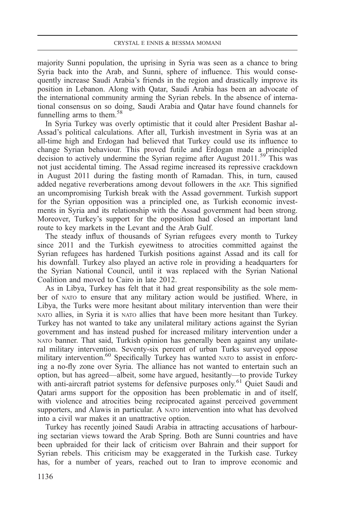majority Sunni population, the uprising in Syria was seen as a chance to bring Syria back into the Arab, and Sunni, sphere of influence. This would consequently increase Saudi Arabia's friends in the region and drastically improve its position in Lebanon. Along with Qatar, Saudi Arabia has been an advocate of the international community arming the Syrian rebels. In the absence of international consensus on so doing, Saudi Arabia and Qatar have found channels for funnelling arms to them.<sup>58</sup>

In Syria Turkey was overly optimistic that it could alter President Bashar al-Assad's political calculations. After all, Turkish investment in Syria was at an all-time high and Erdogan had believed that Turkey could use its influence to change Syrian behaviour. This proved futile and Erdogan made a principled decision to actively undermine the Syrian regime after August 2011.<sup>59</sup> This was not just accidental timing. The Assad regime increased its repressive crackdown in August 2011 during the fasting month of Ramadan. This, in turn, caused added negative reverberations among devout followers in the AKP. This signified an uncompromising Turkish break with the Assad government. Turkish support for the Syrian opposition was a principled one, as Turkish economic investments in Syria and its relationship with the Assad government had been strong. Moreover, Turkey's support for the opposition had closed an important land route to key markets in the Levant and the Arab Gulf.

The steady influx of thousands of Syrian refugees every month to Turkey since 2011 and the Turkish eyewitness to atrocities committed against the Syrian refugees has hardened Turkish positions against Assad and its call for his downfall. Turkey also played an active role in providing a headquarters for the Syrian National Council, until it was replaced with the Syrian National Coalition and moved to Cairo in late 2012.

As in Libya, Turkey has felt that it had great responsibility as the sole member of NATO to ensure that any military action would be justified. Where, in Libya, the Turks were more hesitant about military intervention than were their NATO allies, in Syria it is NATO allies that have been more hesitant than Turkey. Turkey has not wanted to take any unilateral military actions against the Syrian government and has instead pushed for increased military intervention under a NATO banner. That said, Turkish opinion has generally been against any unilateral military intervention. Seventy-six percent of urban Turks surveyed oppose military intervention.<sup>60</sup> Specifically Turkey has wanted NATO to assist in enforcing a no-fly zone over Syria. The alliance has not wanted to entertain such an option, but has agreed—albeit, some have argued, hesitantly—to provide Turkey with anti-aircraft patriot systems for defensive purposes only.<sup>61</sup> Quiet Saudi and Qatari arms support for the opposition has been problematic in and of itself, with violence and atrocities being reciprocated against perceived government supporters, and Alawis in particular. A NATO intervention into what has devolved into a civil war makes it an unattractive option.

Turkey has recently joined Saudi Arabia in attracting accusations of harbouring sectarian views toward the Arab Spring. Both are Sunni countries and have been upbraided for their lack of criticism over Bahrain and their support for Syrian rebels. This criticism may be exaggerated in the Turkish case. Turkey has, for a number of years, reached out to Iran to improve economic and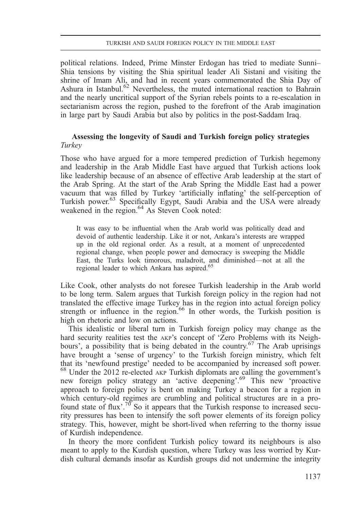political relations. Indeed, Prime Minster Erdogan has tried to mediate Sunni– Shia tensions by visiting the Shia spiritual leader Ali Sistani and visiting the shrine of Imam Ali, and had in recent years commemorated the Shia Day of Ashura in Istanbul.<sup>62</sup> Nevertheless, the muted international reaction to Bahrain and the nearly uncritical support of the Syrian rebels points to a re-escalation in sectarianism across the region, pushed to the forefront of the Arab imagination in large part by Saudi Arabia but also by politics in the post-Saddam Iraq.

## Assessing the longevity of Saudi and Turkish foreign policy strategies Turkey

Those who have argued for a more tempered prediction of Turkish hegemony and leadership in the Arab Middle East have argued that Turkish actions look like leadership because of an absence of effective Arab leadership at the start of the Arab Spring. At the start of the Arab Spring the Middle East had a power vacuum that was filled by Turkey 'artificially inflating' the self-perception of Turkish power.63 Specifically Egypt, Saudi Arabia and the USA were already weakened in the region.<sup>64</sup> As Steven Cook noted:

It was easy to be influential when the Arab world was politically dead and devoid of authentic leadership. Like it or not, Ankara's interests are wrapped up in the old regional order. As a result, at a moment of unprecedented regional change, when people power and democracy is sweeping the Middle East, the Turks look timorous, maladroit, and diminished—not at all the regional leader to which Ankara has aspired.<sup>65</sup>

Like Cook, other analysts do not foresee Turkish leadership in the Arab world to be long term. Salem argues that Turkish foreign policy in the region had not translated the effective image Turkey has in the region into actual foreign policy strength or influence in the region.<sup>66</sup> In other words, the Turkish position is high on rhetoric and low on actions.

This idealistic or liberal turn in Turkish foreign policy may change as the hard security realities test the AKP's concept of 'Zero Problems with its Neighbours', a possibility that is being debated in the country.<sup>67</sup> The Arab uprisings have brought a 'sense of urgency' to the Turkish foreign ministry, which felt that its 'newfound prestige' needed to be accompanied by increased soft power. <sup>68</sup> Under the 2012 re-elected AKP Turkish diplomats are calling the government'<sup>s</sup> new foreign policy strategy an 'active deepening'. <sup>69</sup> This new 'proactive approach to foreign policy is bent on making Turkey a beacon for a region in which century-old regimes are crumbling and political structures are in a profound state of flux'.<sup>70</sup> So it appears that the Turkish response to increased security pressures has been to intensify the soft power elements of its foreign policy strategy. This, however, might be short-lived when referring to the thorny issue of Kurdish independence.

In theory the more confident Turkish policy toward its neighbours is also meant to apply to the Kurdish question, where Turkey was less worried by Kurdish cultural demands insofar as Kurdish groups did not undermine the integrity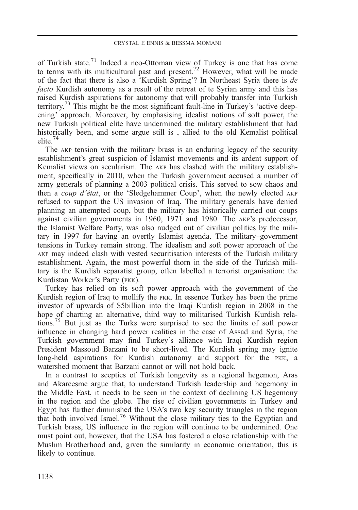of Turkish state.71 Indeed a neo-Ottoman view of Turkey is one that has come to terms with its multicultural past and present.<sup>72</sup> However, what will be made of the fact that there is also a 'Kurdish Spring'? In Northeast Syria there is  $de$ facto Kurdish autonomy as a result of the retreat of te Syrian army and this has raised Kurdish aspirations for autonomy that will probably transfer into Turkish territory.<sup>73</sup> This might be the most significant fault-line in Turkey's 'active deepening' approach. Moreover, by emphasising idealist notions of soft power, the new Turkish political elite have undermined the military establishment that had historically been, and some argue still is , allied to the old Kemalist political elite.<sup>74</sup>

The AKP tension with the military brass is an enduring legacy of the security establishment's great suspicion of Islamist movements and its ardent support of Kemalist views on secularism. The AKP has clashed with the military establishment, specifically in 2010, when the Turkish government accused a number of army generals of planning a 2003 political crisis. This served to sow chaos and then a coup d'état, or the 'Sledgehammer Coup', when the newly elected AKP refused to support the US invasion of Iraq. The military generals have denied planning an attempted coup, but the military has historically carried out coups against civilian governments in 1960, 1971 and 1980. The AKP's predecessor, the Islamist Welfare Party, was also nudged out of civilian politics by the military in 1997 for having an overtly Islamist agenda. The military–government tensions in Turkey remain strong. The idealism and soft power approach of the AKP may indeed clash with vested securitisation interests of the Turkish military establishment. Again, the most powerful thorn in the side of the Turkish military is the Kurdish separatist group, often labelled a terrorist organisation: the Kurdistan Worker's Party (PKK).

Turkey has relied on its soft power approach with the government of the Kurdish region of Iraq to mollify the PKK. In essence Turkey has been the prime investor of upwards of \$5billion into the Iraqi Kurdish region in 2008 in the hope of charting an alternative, third way to militarised Turkish–Kurdish relations.75 But just as the Turks were surprised to see the limits of soft power influence in changing hard power realities in the case of Assad and Syria, the Turkish government may find Turkey's alliance with Iraqi Kurdish region President Massoud Barzani to be short-lived. The Kurdish spring may ignite long-held aspirations for Kurdish autonomy and support for the PKK, a watershed moment that Barzani cannot or will not hold back.

In a contrast to sceptics of Turkish longevity as a regional hegemon, Aras and Akarcesme argue that, to understand Turkish leadership and hegemony in the Middle East, it needs to be seen in the context of declining US hegemony in the region and the globe. The rise of civilian governments in Turkey and Egypt has further diminished the USA's two key security triangles in the region that both involved Israel.76 Without the close military ties to the Egyptian and Turkish brass, US influence in the region will continue to be undermined. One must point out, however, that the USA has fostered a close relationship with the Muslim Brotherhood and, given the similarity in economic orientation, this is likely to continue.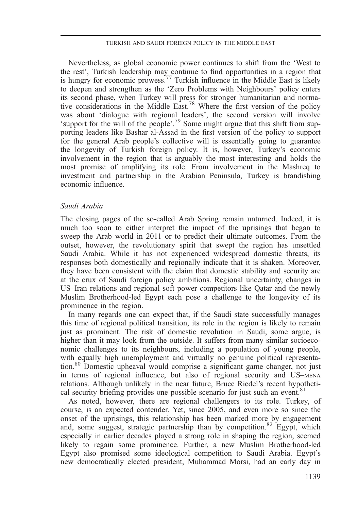Nevertheless, as global economic power continues to shift from the 'West to the rest', Turkish leadership may continue to find opportunities in a region that is hungry for economic prowess.<sup>77</sup> Turkish influence in the Middle East is likely to deepen and strengthen as the 'Zero Problems with Neighbours' policy enters its second phase, when Turkey will press for stronger humanitarian and normative considerations in the Middle East.78 Where the first version of the policy was about 'dialogue with regional leaders', the second version will involve 'support for the will of the people'.<sup>79</sup> Some might argue that this shift from supporting leaders like Bashar al-Assad in the first version of the policy to support for the general Arab people's collective will is essentially going to guarantee the longevity of Turkish foreign policy. It is, however, Turkey's economic involvement in the region that is arguably the most interesting and holds the most promise of amplifying its role. From involvement in the Mashreq to investment and partnership in the Arabian Peninsula, Turkey is brandishing economic influence.

## Saudi Arabia

The closing pages of the so-called Arab Spring remain unturned. Indeed, it is much too soon to either interpret the impact of the uprisings that began to sweep the Arab world in 2011 or to predict their ultimate outcomes. From the outset, however, the revolutionary spirit that swept the region has unsettled Saudi Arabia. While it has not experienced widespread domestic threats, its responses both domestically and regionally indicate that it is shaken. Moreover, they have been consistent with the claim that domestic stability and security are at the crux of Saudi foreign policy ambitions. Regional uncertainty, changes in US–Iran relations and regional soft power competitors like Qatar and the newly Muslim Brotherhood-led Egypt each pose a challenge to the longevity of its prominence in the region.

In many regards one can expect that, if the Saudi state successfully manages this time of regional political transition, its role in the region is likely to remain just as prominent. The risk of domestic revolution in Saudi, some argue, is higher than it may look from the outside. It suffers from many similar socioeconomic challenges to its neighbours, including a population of young people, with equally high unemployment and virtually no genuine political representation.80 Domestic upheaval would comprise a significant game changer, not just in terms of regional influence, but also of regional security and US–MENA relations. Although unlikely in the near future, Bruce Riedel's recent hypothetical security briefing provides one possible scenario for just such an event.<sup>81</sup>

As noted, however, there are regional challengers to its role. Turkey, of course, is an expected contender. Yet, since 2005, and even more so since the onset of the uprisings, this relationship has been marked more by engagement and, some suggest, strategic partnership than by competition.<sup>82</sup> Egypt, which especially in earlier decades played a strong role in shaping the region, seemed likely to regain some prominence. Further, a new Muslim Brotherhood-led Egypt also promised some ideological competition to Saudi Arabia. Egypt's new democratically elected president, Muhammad Morsi, had an early day in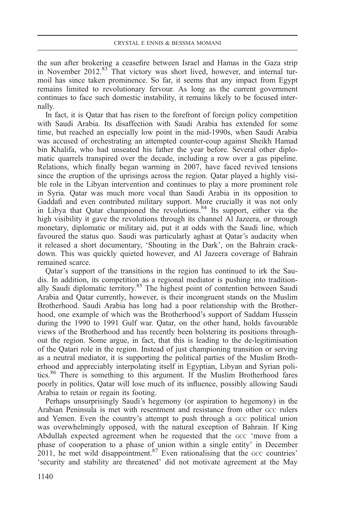the sun after brokering a ceasefire between Israel and Hamas in the Gaza strip in November 2012.<sup>83</sup> That victory was short lived, however, and internal turmoil has since taken prominence. So far, it seems that any impact from Egypt remains limited to revolutionary fervour. As long as the current government continues to face such domestic instability, it remains likely to be focused internally.

In fact, it is Qatar that has risen to the forefront of foreign policy competition with Saudi Arabia. Its disaffection with Saudi Arabia has extended for some time, but reached an especially low point in the mid-1990s, when Saudi Arabia was accused of orchestrating an attempted counter-coup against Sheikh Hamad bin Khalifa, who had unseated his father the year before. Several other diplomatic quarrels transpired over the decade, including a row over a gas pipeline. Relations, which finally began warming in 2007, have faced revived tensions since the eruption of the uprisings across the region. Qatar played a highly visible role in the Libyan intervention and continues to play a more prominent role in Syria. Qatar was much more vocal than Saudi Arabia in its opposition to Gaddafi and even contributed military support. More crucially it was not only in Libya that Qatar championed the revolutions.<sup>84</sup> Its support, either via the high visibility it gave the revolutions through its channel Al Jazeera, or through monetary, diplomatic or military aid, put it at odds with the Saudi line, which favoured the status quo. Saudi was particularly aghast at Qatar's audacity when it released a short documentary, 'Shouting in the Dark', on the Bahrain crackdown. This was quickly quieted however, and Al Jazeera coverage of Bahrain remained scarce.

Qatar's support of the transitions in the region has continued to irk the Saudis. In addition, its competition as a regional mediator is pushing into traditionally Saudi diplomatic territory.<sup>85</sup> The highest point of contention between Saudi Arabia and Qatar currently, however, is their incongruent stands on the Muslim Brotherhood. Saudi Arabia has long had a poor relationship with the Brotherhood, one example of which was the Brotherhood's support of Saddam Hussein during the 1990 to 1991 Gulf war. Qatar, on the other hand, holds favourable views of the Brotherhood and has recently been bolstering its positions throughout the region. Some argue, in fact, that this is leading to the de-legitimisation of the Qatari role in the region. Instead of just championing transition or serving as a neutral mediator, it is supporting the political parties of the Muslim Brotherhood and appreciably interpolating itself in Egyptian, Libyan and Syrian politics.<sup>86</sup> There is something to this argument. If the Muslim Brotherhood fares poorly in politics, Qatar will lose much of its influence, possibly allowing Saudi Arabia to retain or regain its footing.

Perhaps unsurprisingly Saudi's hegemony (or aspiration to hegemony) in the Arabian Peninsula is met with resentment and resistance from other GCC rulers and Yemen. Even the country's attempt to push through a GCC political union was overwhelmingly opposed, with the natural exception of Bahrain. If King Abdullah expected agreement when he requested that the GCC 'move from a phase of cooperation to a phase of union within a single entity' in December 2011, he met wild disappointment.<sup>87</sup> Even rationalising that the  $\frac{1}{2}$  countries' 'security and stability are threatened' did not motivate agreement at the May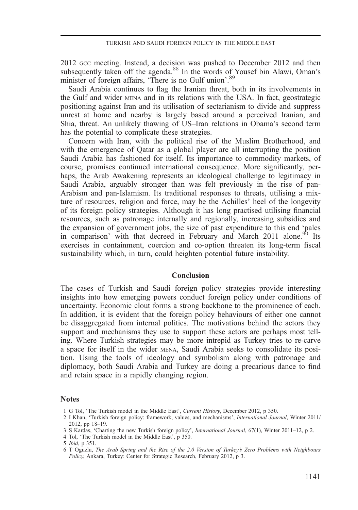2012 GCC meeting. Instead, a decision was pushed to December 2012 and then subsequently taken off the agenda.<sup>88</sup> In the words of Yousef bin Alawi, Oman's minister of foreign affairs, 'There is no Gulf union'.<sup>89</sup>

Saudi Arabia continues to flag the Iranian threat, both in its involvements in the Gulf and wider MENA and in its relations with the USA. In fact, geostrategic positioning against Iran and its utilisation of sectarianism to divide and suppress unrest at home and nearby is largely based around a perceived Iranian, and Shia, threat. An unlikely thawing of US–Iran relations in Obama's second term has the potential to complicate these strategies.

Concern with Iran, with the political rise of the Muslim Brotherhood, and with the emergence of Qatar as a global player are all interrupting the position Saudi Arabia has fashioned for itself. Its importance to commodity markets, of course, promises continued international consequence. More significantly, perhaps, the Arab Awakening represents an ideological challenge to legitimacy in Saudi Arabia, arguably stronger than was felt previously in the rise of pan-Arabism and pan-Islamism. Its traditional responses to threats, utilising a mixture of resources, religion and force, may be the Achilles' heel of the longevity of its foreign policy strategies. Although it has long practised utilising financial resources, such as patronage internally and regionally, increasing subsidies and the expansion of government jobs, the size of past expenditure to this end 'pales in comparison' with that decreed in February and March 2011 alone.<sup>90</sup> Its exercises in containment, coercion and co-option threaten its long-term fiscal sustainability which, in turn, could heighten potential future instability.

#### Conclusion

The cases of Turkish and Saudi foreign policy strategies provide interesting insights into how emerging powers conduct foreign policy under conditions of uncertainty. Economic clout forms a strong backbone to the prominence of each. In addition, it is evident that the foreign policy behaviours of either one cannot be disaggregated from internal politics. The motivations behind the actors they support and mechanisms they use to support these actors are perhaps most telling. Where Turkish strategies may be more intrepid as Turkey tries to re-carve a space for itself in the wider MENA, Saudi Arabia seeks to consolidate its position. Using the tools of ideology and symbolism along with patronage and diplomacy, both Saudi Arabia and Turkey are doing a precarious dance to find and retain space in a rapidly changing region.

#### Notes

- 1 G Tol, 'The Turkish model in the Middle East', Current History, December 2012, p 350.
- 2 I Khan, 'Turkish foreign policy: framework, values, and mechanisms', International Journal, Winter 2011/ 2012, pp 18–19.
- 3 S Kardas, 'Charting the new Turkish foreign policy', International Journal, 67(1), Winter 2011–12, p 2.
- 4 Tol, 'The Turkish model in the Middle East', p 350.

<sup>5</sup> Ibid, p 351.

<sup>6</sup> T Oguzlu, The Arab Spring and the Rise of the 2.0 Version of Turkey's Zero Problems with Neighbours Policy, Ankara, Turkey: Center for Strategic Research, February 2012, p 3.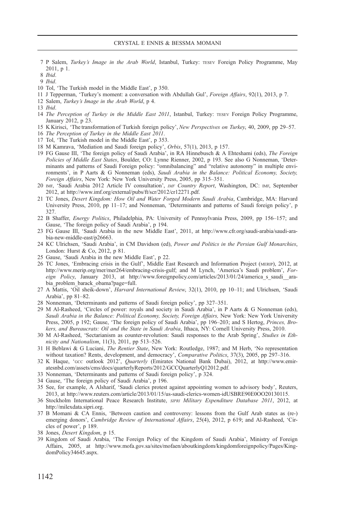- 7 P Salem, Turkey's Image in the Arab World, Istanbul, Turkey: TESEV Foreign Policy Programme, May 2011, p 1.
- 8 Ibid.
- 9 Ibid.
- 10 Tol, 'The Turkish model in the Middle East', p 350.
- 11 J Tepperman, 'Turkey's moment: a conversation with Abdullah Gul', Foreign Affairs, 92(1), 2013, p 7.
- 12 Salem, Turkey's Image in the Arab World, p 4.
- 13 Ibid.
- 14 The Perception of Turkey in the Middle East 2011, Istanbul, Turkey: TESEV Foreign Policy Programme, January 2012, p 23.
- 15 K Kirisci, 'The transformation of Turkish foreign policy', New Perspectives on Turkey, 40, 2009, pp 29–57.
- 16 The Perception of Turkey in the Middle East 2011.
- 17 Tol, 'The Turkish model in the Middle East', p 353.
- 18 M Kamrava, 'Mediation and Saudi foreign policy', Orbis, 57(1), 2013, p 157.
- 19 FG Gause III, 'The foreign policy of Saudi Arabia', in RA Hinnebusch & A Ehteshami (eds), The Foreign Policies of Middle East States, Boulder, CO: Lynne Rienner, 2002, p 193. See also G Nonneman, 'Determinants and patterns of Saudi Foreign policy: "omnibalancing" and "relative autonomy" in multiple environments', in P Aarts & G Nonneman (eds), Saudi Arabia in the Balance: Political Economy, Society, Foreign Affairs, New York: New York University Press, 2005, pp 315–351.
- 20 IMF, 'Saudi Arabia 2012 Article IV consultation', IMF Country Report, Washington, DC: IMF, September 2012, at [http://www.imf.org/external/pubs/ft/scr/2012/cr12271.pdf.](http://www.imf.org/external/pubs/ft/scr/2012/cr12271.pdf)
- 21 TC Jones, Desert Kingdom: How Oil and Water Forged Modern Saudi Arabia, Cambridge, MA: Harvard University Press, 2010, pp 11–17; and Nonneman, 'Determinants and patterns of Saudi foreign policy', p 327.
- 22 B Shaffer, Energy Politics, Philadelphia, PA: University of Pennsylvania Press, 2009, pp 156–157; and Gause, 'The foreign policy of Saudi Arabia', p 194.
- 23 FG Gause III, 'Saudi Arabia in the new Middle East', 2011, at [http://www.cfr.org/saudi-arabia/saudi-ara](http://www.cfr.org/saudi-arabia/saudi-arabia-new-middle-east/p26663)[bia-new-middle-east/p26663.](http://www.cfr.org/saudi-arabia/saudi-arabia-new-middle-east/p26663)
- 24 KC Ulrichsen, 'Saudi Arabia', in CM Davidson (ed), Power and Politics in the Persian Gulf Monarchies, London: Hurst & Co, 2012, p 81.
- 25 Gause, 'Saudi Arabia in the new Middle East', p 22.
- 26 TC Jones, 'Embracing crisis in the Gulf', Middle East Research and Information Project (MERIP), 2012, at [http://www.merip.org/mer/mer264/embracing-crisis-gulf; and M Lynch,](http://www.merip.org/mer/mer264/embracing-crisis-gulf;%20and%20M%20Lynch,%20‘America’s%20Saudi%20problem’,%20Foreign%20Policy,%20January%202013,%20at) 'America's Saudi problem', For-eign Policy[, January 2013, at](http://www.merip.org/mer/mer264/embracing-crisis-gulf;%20and%20M%20Lynch,%20‘America’s%20Saudi%20problem’,%20Foreign%20Policy,%20January%202013,%20at) http://www.foreignpolicy.com/articles/2013/01/24/america s saudi arabia problem barack obama?page=full.
- 27 A Mattis, 'Oil sheik-down', *Harvard International Review*, 32(1), 2010, pp 10-11; and Ulrichsen, 'Saudi Arabia', pp 81–82.
- 28 Nonneman, 'Determinants and patterns of Saudi foreign policy', pp 327–351.
- 29 M Al-Rasheed, 'Circles of power: royals and society in Saudi Arabia', in P Aarts & G Nonneman (eds), Saudi Arabia in the Balance: Political Economy, Society, Foreign Affairs, New York: New York University Press, 2005, p 192; Gause, 'The foreign policy of Saudi Arabia', pp 196–203; and S Hertog, Princes, Brokers, and Bureaucrats: Oil and the State in Saudi Arabia, Ithaca, NY: Cornell University Press, 2010.
- 30 M Al-Rasheed, 'Sectarianism as counter-revolution: Saudi responses to the Arab Spring', Studies in Ethnicity and Nationalism, 11(3), 2011, pp 513–526.
- 31 H Beblawi & G Luciani, The Rentier State, New York: Routledge, 1987; and M Herb, 'No representation without taxation? Rents, development, and democracy', *Comparative Politics*, 37(3), 2005, pp 297–316.
- 32 K Haque, 'GCC outlook 2012', Quarterly (Emirates National Bank Dubai), 2012, at [http://www.emir](http://www.emiratesnbd.com/assets/cms/docs/quarterlyReports/2012/GCCQuarterlyQ12012.pdf)[atesnbd.com/assets/cms/docs/quarterlyReports/2012/GCCQuarterlyQ12012.pdf](http://www.emiratesnbd.com/assets/cms/docs/quarterlyReports/2012/GCCQuarterlyQ12012.pdf).
- 33 Nonneman, 'Determinants and patterns of Saudi foreign policy', p 324.
- 34 Gause, 'The foreign policy of Saudi Arabia', p 196.
- 35 See, for example, A Alsharif, 'Saudi clerics protest against appointing women to advisory body', Reuters, 2013, at<http://www.reuters.com/article/2013/01/15/us-saudi-clerics-women-idUSBRE90E0OO20130115>.
- 36 Stockholm International Peace Research Institute, SIPRI Military Expenditure Database 2011, 2012, at <http://milexdata.sipri.org>.
- 37 B Momani & CA Ennis, 'Between caution and controversy: lessons from the Gulf Arab states as (re-) emerging donors', Cambridge Review of International Affairs, 25(4), 2012, p 619; and Al-Rasheed, 'Circles of power', p 189.
- 38 Jones, Desert Kingdom, p 15.
- 39 Kingdom of Saudi Arabia, 'The Foreign Policy of the Kingdom of Saudi Arabia', Ministry of Foreign Affairs, 2005, at [http://www.mofa.gov.sa/sites/mofaen/aboutkingdom/kingdomforeignpolicy/Pages/King](http://www.mofa.gov.sa/sites/mofaen/aboutkingdom/kingdomforeignpolicy/Pages/KingdomPolicy34645.aspx)[domPolicy34645.aspx.](http://www.mofa.gov.sa/sites/mofaen/aboutkingdom/kingdomforeignpolicy/Pages/KingdomPolicy34645.aspx)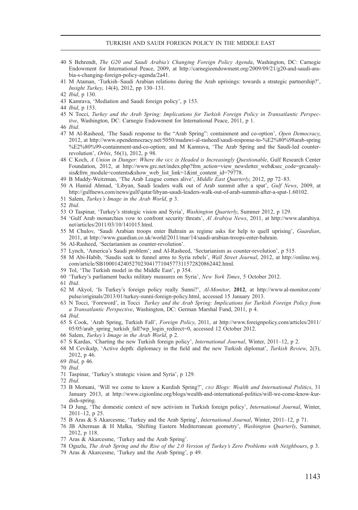#### TURKISH AND SAUDI FOREIGN POLICY IN THE MIDDLE EAST

- 40 S Behrendt, The G20 and Saudi Arabia's Changing Foreign Policy Agenda, Washington, DC: Carnegie Endowment for International Peace, 2009, at [http://carnegieendowment.org/2009/09/21/g20-and-saudi-ara](http://carnegieendowment.org/2009/09/21/g20-and-saudi-arabia-s-changing-foreign-policy-agenda/2a41)[bia-s-changing-foreign-policy-agenda/2a41.](http://carnegieendowment.org/2009/09/21/g20-and-saudi-arabia-s-changing-foreign-policy-agenda/2a41)
- 41 M Ataman, 'Turkish–Saudi Arabian relations during the Arab uprisings: towards a strategic partnership?', Insight Turkey, 14(4), 2012, pp 130–131.

43 Kamrava, 'Mediation and Saudi foreign policy', p 153.

- 45 N Tocci, Turkey and the Arab Spring: Implications for Turkish Foreign Policy in Transatlantic Perspective, Washington, DC: Carnegie Endowment for International Peace, 2011, p 1.
- 46 Ibid.
- 47 M Al-Rasheed, 'The Saudi response to the "Arab Spring": containment and co-option', Open Democracy, 2012, at [http://www.opendemocracy.net/5050/madawi-al-rasheed/saudi-response-to-%E2%80%98arab-spring](http://www.opendemocracy.net/5050/madawi-al-rasheed/saudi-response-to-%E2%80%98arab-spring%E2%80%99-containment-and-co-option) [%E2%80%99-containment-and-co-option;](http://www.opendemocracy.net/5050/madawi-al-rasheed/saudi-response-to-%E2%80%98arab-spring%E2%80%99-containment-and-co-option) and M Kamrava, 'The Arab Spring and the Saudi-led counterrevolution', Orbis, 56(1), 2012, p 98.
- 48 C Koch, A Union in Danger: Where the GCC is Headed is Increasingly Ouestionable, Gulf Research Center Foundation, 2012, at [http://www.grc.net/index.php?frm\\_action=view\\_newsletter\\_web&sec\\_code=grcanaly](http://www.grc.net/index.php?frm_action=view_newsletter_web&sec_code=grcanalysis&frm_module=contents&show_web_list_link=1&int_content_id=79778)[sis&frm\\_module=contents&show\\_web\\_list\\_link=1&int\\_content\\_id=79778](http://www.grc.net/index.php?frm_action=view_newsletter_web&sec_code=grcanalysis&frm_module=contents&show_web_list_link=1&int_content_id=79778).
- 49 B Maddy-Weitzman, 'The Arab League comes alive', Middle East Quarterly, 2012, pp 72–83.
- 50 A Hamid Ahmad, 'Libyan, Saudi leaders walk out of Arab summit after a spat', Gulf News, 2009, at <http://gulfnews.com/news/gulf/qatar/libyan-saudi-leaders-walk-out-of-arab-summit-after-a-spat-1.60102>.
- 51 Salem, Turkey's Image in the Arab World, p 3.
- 52 Ibid.
- 53 O Taspinar, 'Turkey's strategic vision and Syria', Washington Quarterly, Summer 2012, p 129.
- 54 'Gulf Arab monarchies vow to confront security threats', Al Arabiya News, 2011, at [http://www.alarabiya.](http://www.alarabiya.net/articles/2011/03/10/141015.html) [net/articles/2011/03/10/141015.html.](http://www.alarabiya.net/articles/2011/03/10/141015.html)
- 55 M Chulov, 'Saudi Arabian troops enter Bahrain as regime asks for help to quell uprising', Guardian, 2011, at [http://www.guardian.co.uk/world/2011/mar/14/saudi-arabian-troops-enter-bahrain.](http://www.guardian.co.uk/world/2011/mar/14/saudi-arabian-troops-enter-bahrain)
- 56 Al-Rasheed, 'Sectarianism as counter-revolution'.
- 57 Lynch, 'America's Saudi problem'; and Al-Rasheed, 'Sectarianism as counter-revolution', p 515.
- 58 M Abi-Habib, 'Saudis seek to funnel arms to Syria rebels', Wall Street Journal, 2012, at [http://online.wsj.](http://online.wsj.com/article/SB10001424052702304177104577311572820862442.html) [com/article/SB10001424052702304177104577311572820862442.html](http://online.wsj.com/article/SB10001424052702304177104577311572820862442.html).
- 59 Tol, 'The Turkish model in the Middle East', p 354.
- 60 'Turkey's parliament backs military measures on Syria', New York Times, 5 October 2012.
- 61 Ibid.
- 62 M Akyol, 'Is Turkey's foreign policy really Sunni?', Al-Monitor, 2012, at [http://www.al-monitor.com/](http://www.al-monitor.com/pulse/originals/2013/01/turkey-sunni-foreign-policy.html) [pulse/originals/2013/01/turkey-sunni-foreign-policy.html,](http://www.al-monitor.com/pulse/originals/2013/01/turkey-sunni-foreign-policy.html) accessed 15 January 2013.
- 63 N Tocci, 'Foreword', in Tocci Turkey and the Arab Spring: Implications for Turkish Foreign Policy from a Transatlantic Perspective, Washington, DC: German Marshal Fund, 2011, p 4.
- 64 Ibid.
- 65 S Cook, 'Arab Spring, Turkish Fall', Foreign Policy, 2011, at [http://www.foreignpolicy.com/articles/2011/](http://www.foreignpolicy.com/articles/2011/05/05/arab_spring_turkish_fall?wp_login_redirect=0,%20accessed%2012%20October%202012) 05/05/arab spring turkish fall?wp\_login\_redirect=0, accessed 12 October 2012.
- 66 Salem, Turkey's Image in the Arab World, p 2.
- 67 S Kardas, 'Charting the new Turkish foreign policy', International Journal, Winter, 2011–12, p 2.
- 68 M Cevikalp, 'Active depth: diplomacy in the field and the new Turkish diplomat', Turkish Review, 2(3), 2012, p 46.
- 69 Ibid, p 46.
- 70 Ibid.
- 71 Taspinar, 'Turkey's strategic vision and Syria', p 129.
- 72 Ibid.
- 73 B Momani, 'Will we come to know a Kurdish Spring?', CIGI Blogs: Wealth and International Politics, 31 January 2013, at [http://www.cigionline.org/blogs/wealth-and-international-politics/will-we-come-know-kur](http://www.cigionline.org/blogs/wealth-and-international-politics/will-we-come-know-kurdish-spring)[dish-spring](http://www.cigionline.org/blogs/wealth-and-international-politics/will-we-come-know-kurdish-spring).
- 74 D Jung, 'The domestic context of new activism in Turkish foreign policy', International Journal, Winter, 2011–12, p 25.
- 75 B Aras & S Akarcesme, 'Turkey and the Arab Spring', International Journal, Winter, 2011–12, p 71.
- 76 JB Alterman & H Malka, 'Shifting Eastern Mediterranean geometry', Washington Quarterly, Summer, 2012, p 118.
- 77 Aras & Akarcesme, 'Turkey and the Arab Spring'.
- 78 Oguzlu, The Arab Spring and the Rise of the 2.0 Version of Turkey's Zero Problems with Neighbours, p 3.
- 79 Aras & Akarcesme, 'Turkey and the Arab Spring', p 49.

<sup>42</sup> Ibid, p 130.

<sup>44</sup> Ibid, p 153.